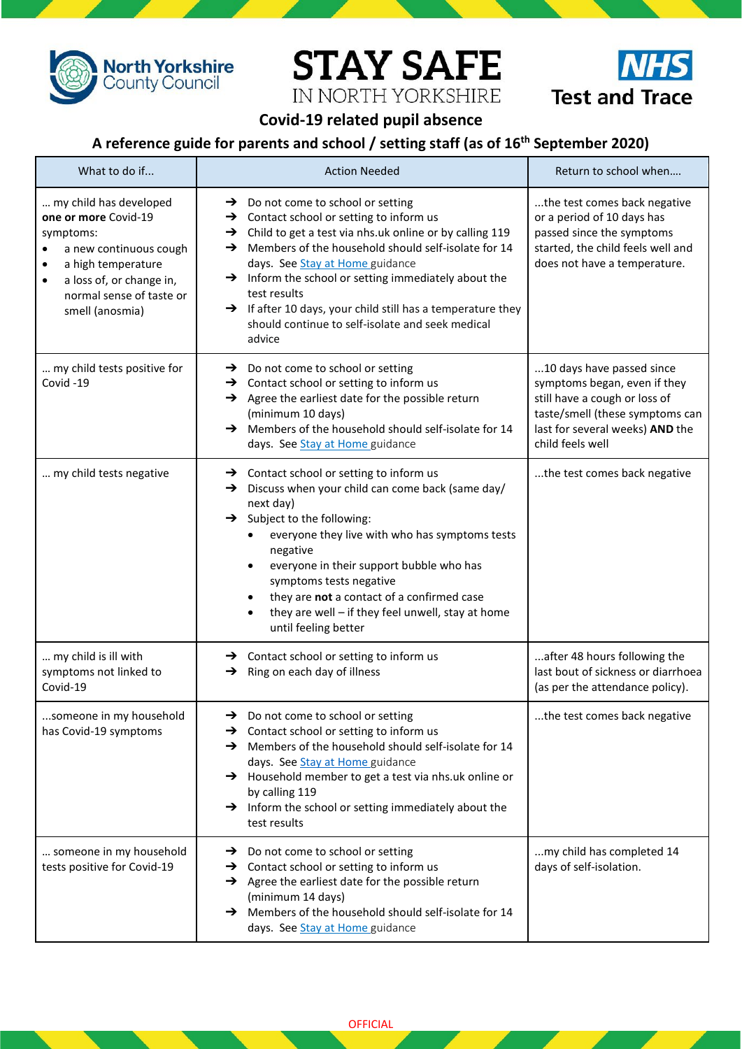

**Test and Trace** 

## **Covid-19 related pupil absence**

**STAY SAFE** 

IN NORTH YORKSHIRE

## **A reference guide for parents and school / setting staff (as of 16th September 2020)**

| What to do if                                                                                                                                                                                    | <b>Action Needed</b>                                                                                                                                                                                                                                                                                                                                                                                                                                                                                           | Return to school when                                                                                                                                                                |
|--------------------------------------------------------------------------------------------------------------------------------------------------------------------------------------------------|----------------------------------------------------------------------------------------------------------------------------------------------------------------------------------------------------------------------------------------------------------------------------------------------------------------------------------------------------------------------------------------------------------------------------------------------------------------------------------------------------------------|--------------------------------------------------------------------------------------------------------------------------------------------------------------------------------------|
| my child has developed<br>one or more Covid-19<br>symptoms:<br>a new continuous cough<br>a high temperature<br>٠<br>a loss of, or change in,<br>٠<br>normal sense of taste or<br>smell (anosmia) | $\rightarrow$ Do not come to school or setting<br>$\rightarrow$ Contact school or setting to inform us<br>$\rightarrow$ Child to get a test via nhs.uk online or by calling 119<br>Members of the household should self-isolate for 14<br>→<br>days. See Stay at Home guidance<br>Inform the school or setting immediately about the<br>$\rightarrow$<br>test results<br>$\rightarrow$ If after 10 days, your child still has a temperature they<br>should continue to self-isolate and seek medical<br>advice | the test comes back negative<br>or a period of 10 days has<br>passed since the symptoms<br>started, the child feels well and<br>does not have a temperature.                         |
| my child tests positive for<br>Covid-19                                                                                                                                                          | $\rightarrow$ Do not come to school or setting<br>$\rightarrow$ Contact school or setting to inform us<br>$\rightarrow$ Agree the earliest date for the possible return<br>(minimum 10 days)<br>Members of the household should self-isolate for 14<br>→<br>days. See Stay at Home guidance                                                                                                                                                                                                                    | 10 days have passed since<br>symptoms began, even if they<br>still have a cough or loss of<br>taste/smell (these symptoms can<br>last for several weeks) AND the<br>child feels well |
| my child tests negative                                                                                                                                                                          | $\rightarrow$ Contact school or setting to inform us<br>Discuss when your child can come back (same day/<br>→<br>next day)<br>Subject to the following:<br>→<br>everyone they live with who has symptoms tests<br>negative<br>everyone in their support bubble who has<br>symptoms tests negative<br>they are not a contact of a confirmed case<br>they are well - if they feel unwell, stay at home<br>until feeling better                                                                                   | the test comes back negative                                                                                                                                                         |
| my child is ill with<br>symptoms not linked to<br>Covid-19                                                                                                                                       | $\rightarrow$ Contact school or setting to inform us<br>$\rightarrow$ Ring on each day of illness                                                                                                                                                                                                                                                                                                                                                                                                              | after 48 hours following the<br>last bout of sickness or diarrhoea<br>(as per the attendance policy).                                                                                |
| someone in my household<br>has Covid-19 symptoms                                                                                                                                                 | $\rightarrow$ Do not come to school or setting<br>$\rightarrow$ Contact school or setting to inform us<br>$\rightarrow$ Members of the household should self-isolate for 14<br>days. See Stay at Home guidance<br>$\rightarrow$ Household member to get a test via nhs.uk online or<br>by calling 119<br>$\rightarrow$ Inform the school or setting immediately about the<br>test results                                                                                                                      | the test comes back negative                                                                                                                                                         |
| someone in my household<br>tests positive for Covid-19                                                                                                                                           | $\rightarrow$ Do not come to school or setting<br>$\rightarrow$ Contact school or setting to inform us<br>$\rightarrow$ Agree the earliest date for the possible return<br>(minimum 14 days)<br>A Members of the household should self-isolate for 14<br>days. See Stay at Home guidance                                                                                                                                                                                                                       | my child has completed 14<br>days of self-isolation.                                                                                                                                 |